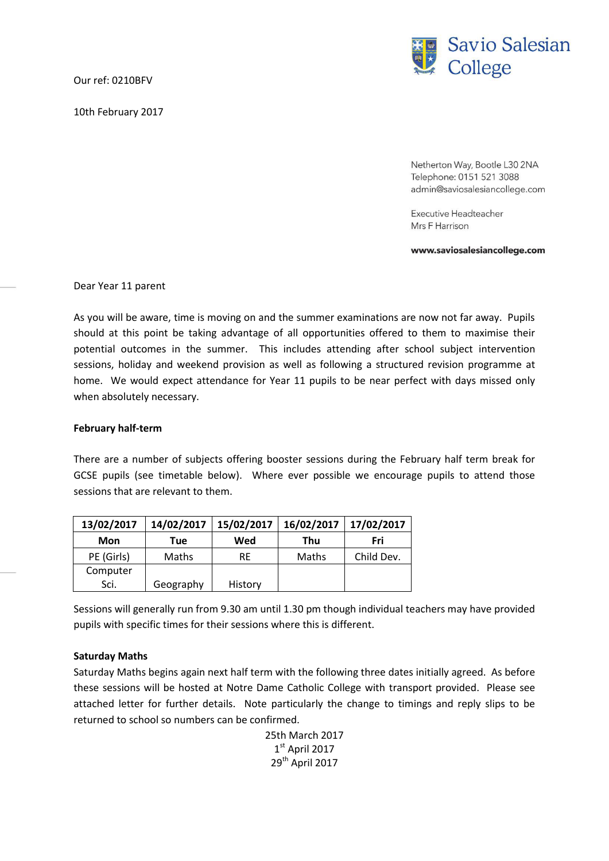Our ref: 0210BFV

10th February 2017



Netherton Way, Bootle L30 2NA Telephone: 0151 521 3088 admin@saviosalesiancollege.com

Executive Headteacher Mrs F Harrison

www.saviosalesiancollege.com

Dear Year 11 parent

As you will be aware, time is moving on and the summer examinations are now not far away. Pupils should at this point be taking advantage of all opportunities offered to them to maximise their potential outcomes in the summer. This includes attending after school subject intervention sessions, holiday and weekend provision as well as following a structured revision programme at home. We would expect attendance for Year 11 pupils to be near perfect with days missed only when absolutely necessary.

## **February half-term**

There are a number of subjects offering booster sessions during the February half term break for GCSE pupils (see timetable below). Where ever possible we encourage pupils to attend those sessions that are relevant to them.

| 13/02/2017 | 14/02/2017   | 15/02/2017 | 16/02/2017 | 17/02/2017 |
|------------|--------------|------------|------------|------------|
| Mon        | Tue          | Wed        | Thu        | Fri        |
| PE (Girls) | <b>Maths</b> | RE         | Maths      | Child Dev. |
| Computer   |              |            |            |            |
| Sci.       | Geography    | History    |            |            |

Sessions will generally run from 9.30 am until 1.30 pm though individual teachers may have provided pupils with specific times for their sessions where this is different.

## **Saturday Maths**

Saturday Maths begins again next half term with the following three dates initially agreed. As before these sessions will be hosted at Notre Dame Catholic College with transport provided. Please see attached letter for further details. Note particularly the change to timings and reply slips to be returned to school so numbers can be confirmed.

> 25th March 2017 1 st April 2017 29th April 2017